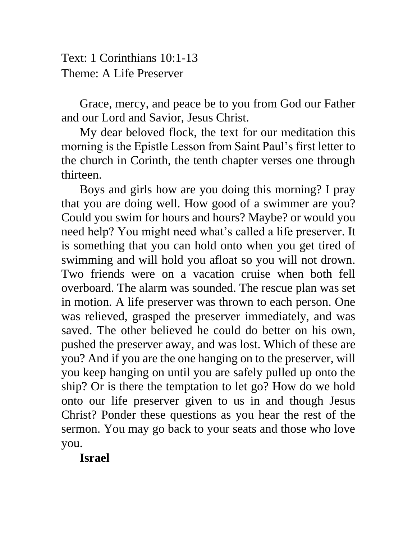Text: 1 Corinthians 10:1-13 Theme: A Life Preserver

Grace, mercy, and peace be to you from God our Father and our Lord and Savior, Jesus Christ.

My dear beloved flock, the text for our meditation this morning is the Epistle Lesson from Saint Paul's first letter to the church in Corinth, the tenth chapter verses one through thirteen.

Boys and girls how are you doing this morning? I pray that you are doing well. How good of a swimmer are you? Could you swim for hours and hours? Maybe? or would you need help? You might need what's called a life preserver. It is something that you can hold onto when you get tired of swimming and will hold you afloat so you will not drown. Two friends were on a vacation cruise when both fell overboard. The alarm was sounded. The rescue plan was set in motion. A life preserver was thrown to each person. One was relieved, grasped the preserver immediately, and was saved. The other believed he could do better on his own, pushed the preserver away, and was lost. Which of these are you? And if you are the one hanging on to the preserver, will you keep hanging on until you are safely pulled up onto the ship? Or is there the temptation to let go? How do we hold onto our life preserver given to us in and though Jesus Christ? Ponder these questions as you hear the rest of the sermon. You may go back to your seats and those who love you.

**Israel**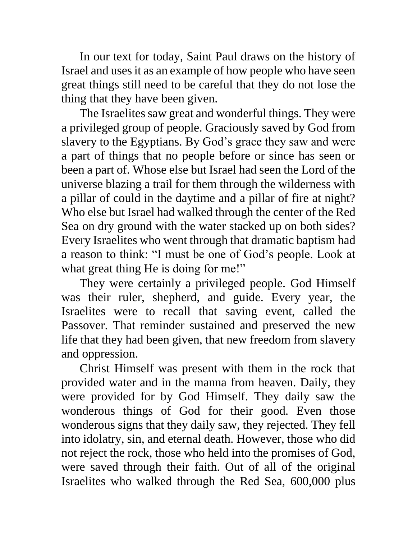In our text for today, Saint Paul draws on the history of Israel and uses it as an example of how people who have seen great things still need to be careful that they do not lose the thing that they have been given.

The Israelites saw great and wonderful things. They were a privileged group of people. Graciously saved by God from slavery to the Egyptians. By God's grace they saw and were a part of things that no people before or since has seen or been a part of. Whose else but Israel had seen the Lord of the universe blazing a trail for them through the wilderness with a pillar of could in the daytime and a pillar of fire at night? Who else but Israel had walked through the center of the Red Sea on dry ground with the water stacked up on both sides? Every Israelites who went through that dramatic baptism had a reason to think: "I must be one of God's people. Look at what great thing He is doing for me!"

They were certainly a privileged people. God Himself was their ruler, shepherd, and guide. Every year, the Israelites were to recall that saving event, called the Passover. That reminder sustained and preserved the new life that they had been given, that new freedom from slavery and oppression.

Christ Himself was present with them in the rock that provided water and in the manna from heaven. Daily, they were provided for by God Himself. They daily saw the wonderous things of God for their good. Even those wonderous signs that they daily saw, they rejected. They fell into idolatry, sin, and eternal death. However, those who did not reject the rock, those who held into the promises of God, were saved through their faith. Out of all of the original Israelites who walked through the Red Sea, 600,000 plus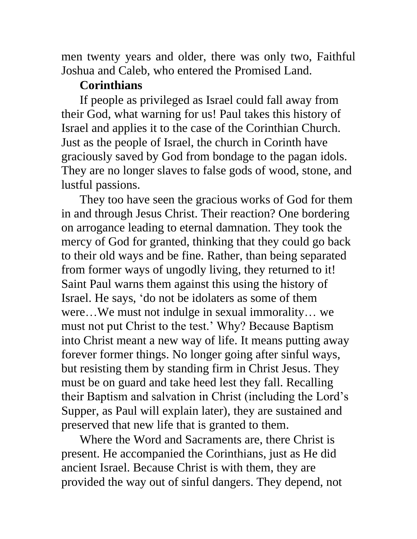men twenty years and older, there was only two, Faithful Joshua and Caleb, who entered the Promised Land.

## **Corinthians**

If people as privileged as Israel could fall away from their God, what warning for us! Paul takes this history of Israel and applies it to the case of the Corinthian Church. Just as the people of Israel, the church in Corinth have graciously saved by God from bondage to the pagan idols. They are no longer slaves to false gods of wood, stone, and lustful passions.

They too have seen the gracious works of God for them in and through Jesus Christ. Their reaction? One bordering on arrogance leading to eternal damnation. They took the mercy of God for granted, thinking that they could go back to their old ways and be fine. Rather, than being separated from former ways of ungodly living, they returned to it! Saint Paul warns them against this using the history of Israel. He says, 'do not be idolaters as some of them were…We must not indulge in sexual immorality… we must not put Christ to the test.' Why? Because Baptism into Christ meant a new way of life. It means putting away forever former things. No longer going after sinful ways, but resisting them by standing firm in Christ Jesus. They must be on guard and take heed lest they fall. Recalling their Baptism and salvation in Christ (including the Lord's Supper, as Paul will explain later), they are sustained and preserved that new life that is granted to them.

Where the Word and Sacraments are, there Christ is present. He accompanied the Corinthians, just as He did ancient Israel. Because Christ is with them, they are provided the way out of sinful dangers. They depend, not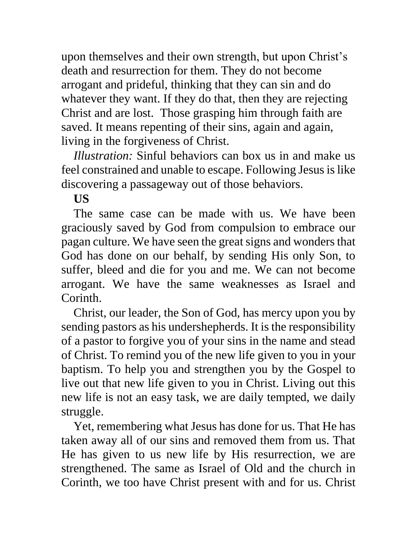upon themselves and their own strength, but upon Christ's death and resurrection for them. They do not become arrogant and prideful, thinking that they can sin and do whatever they want. If they do that, then they are rejecting Christ and are lost. Those grasping him through faith are saved. It means repenting of their sins, again and again, living in the forgiveness of Christ.

*Illustration:* Sinful behaviors can box us in and make us feel constrained and unable to escape. Following Jesus is like discovering a passageway out of those behaviors.

## **US**

The same case can be made with us. We have been graciously saved by God from compulsion to embrace our pagan culture. We have seen the great signs and wonders that God has done on our behalf, by sending His only Son, to suffer, bleed and die for you and me. We can not become arrogant. We have the same weaknesses as Israel and Corinth.

Christ, our leader, the Son of God, has mercy upon you by sending pastors as his undershepherds. It is the responsibility of a pastor to forgive you of your sins in the name and stead of Christ. To remind you of the new life given to you in your baptism. To help you and strengthen you by the Gospel to live out that new life given to you in Christ. Living out this new life is not an easy task, we are daily tempted, we daily struggle.

Yet, remembering what Jesus has done for us. That He has taken away all of our sins and removed them from us. That He has given to us new life by His resurrection, we are strengthened. The same as Israel of Old and the church in Corinth, we too have Christ present with and for us. Christ